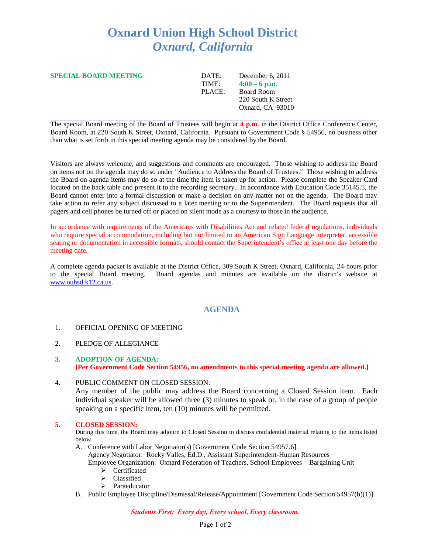# **Oxnard Union High School District** *Oxnard, California*

**SPECIAL BOARD MEETING** DATE: December 6, 2011

TIME:  $4:00 - 6$  p.m. PLACE: Board Room 220 South K Street

Oxnard, CA 93010

The special Board meeting of the Board of Trustees will begin at **4 p.m.** in the District Office Conference Center, Board Room, at 220 South K Street, Oxnard, California. Pursuant to Government Code § 54956, no business other than what is set forth in this special meeting agenda may be considered by the Board.

Visitors are always welcome, and suggestions and comments are encouraged. Those wishing to address the Board on items not on the agenda may do so under "Audience to Address the Board of Trustees." Those wishing to address the Board on agenda items may do so at the time the item is taken up for action. Please complete the Speaker Card located on the back table and present it to the recording secretary. In accordance with Education Code 35145.5, the Board cannot enter into a formal discussion or make a decision on any matter not on the agenda. The Board may take action to refer any subject discussed to a later meeting or to the Superintendent. The Board requests that all pagers and cell phones be turned off or placed on silent mode as a courtesy to those in the audience.

In accordance with requirements of the Americans with Disabilities Act and related federal regulations, individuals who require special accommodation, including but not limited to an American Sign Language interpreter, accessible seating or documentation in accessible formats, should contact the Superintendent's office at least one day before the meeting date.

A complete agenda packet is available at the District Office, 309 South K Street, Oxnard, California, 24-hours prior to the special Board meeting. Board agendas and minutes are available on the district's website at [www.ouhsd.k12.ca.us.](http://www.ouhsd.k12.ca.us/)

## **AGENDA**

### 1. OFFICIAL OPENING OF MEETING

- 2. PLEDGE OF ALLEGIANCE
- **3. ADOPTION OF AGENDA: [Per Government Code Section 54956, no amendments to this special meeting agenda are allowed.]**
- 4. PUBLIC COMMENT ON CLOSED SESSION:

Any member of the public may address the Board concerning a Closed Session item. Each individual speaker will be allowed three (3) minutes to speak or, in the case of a group of people speaking on a specific item, ten (10) minutes will be permitted.

#### **5. CLOSED SESSION:**

During this time, the Board may adjourn to Closed Session to discuss confidential material relating to the items listed below.

- A. Conference with Labor Negotiator(s) [Government Code Section 54957.6] Agency Negotiator: Rocky Valles, Ed.D., Assistant Superintendent-Human Resources Employee Organization: Oxnard Federation of Teachers, School Employees – Bargaining Unit
	- Certificated
		- $\triangleright$  Classified
		- > Paraeducator
- B. Public Employee Discipline/Dismissal/Release/Appointment [Government Code Section 54957(b)(1)]

*Students First: Every day, Every school, Every classroom.*